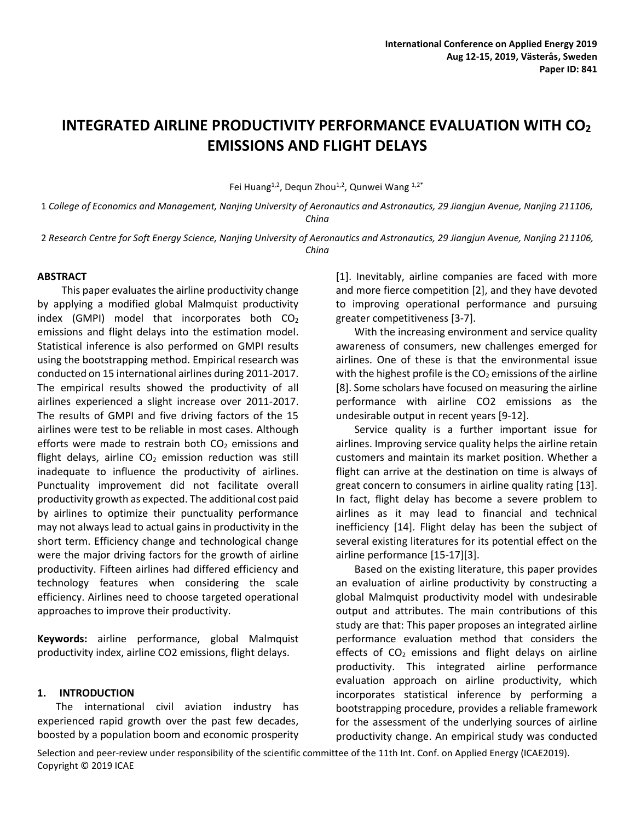# **INTEGRATED AIRLINE PRODUCTIVITY PERFORMANCE EVALUATION WITH CO<sup>2</sup> EMISSIONS AND FLIGHT DELAYS**

Fei Huang<sup>1,2</sup>, Dequn Zhou<sup>1,2</sup>, Qunwei Wang <sup>1,2\*</sup>

1 *College of Economics and Management, Nanjing University of Aeronautics and Astronautics, 29 Jiangjun Avenue, Nanjing 211106, China*

2 *Research Centre for Soft Energy Science, Nanjing University of Aeronautics and Astronautics, 29 Jiangjun Avenue, Nanjing 211106, China*

#### **ABSTRACT**

This paper evaluates the airline productivity change by applying a modified global Malmquist productivity index (GMPI) model that incorporates both  $CO<sub>2</sub>$ emissions and flight delays into the estimation model. Statistical inference is also performed on GMPI results using the bootstrapping method. Empirical research was conducted on 15 international airlines during 2011-2017. The empirical results showed the productivity of all airlines experienced a slight increase over 2011-2017. The results of GMPI and five driving factors of the 15 airlines were test to be reliable in most cases. Although efforts were made to restrain both  $CO<sub>2</sub>$  emissions and flight delays, airline  $CO<sub>2</sub>$  emission reduction was still inadequate to influence the productivity of airlines. Punctuality improvement did not facilitate overall productivity growth as expected. The additional cost paid by airlines to optimize their punctuality performance may not always lead to actual gains in productivity in the short term. Efficiency change and technological change were the major driving factors for the growth of airline productivity. Fifteen airlines had differed efficiency and technology features when considering the scale efficiency. Airlines need to choose targeted operational approaches to improve their productivity.

**Keywords:** airline performance, global Malmquist productivity index, airline CO2 emissions, flight delays.

#### **1. INTRODUCTION**

The international civil aviation industry has experienced rapid growth over the past few decades, boosted by a population boom and economic prosperity [1]. Inevitably, airline companies are faced with more and more fierce competition [2], and they have devoted to improving operational performance and pursuing greater competitiveness [3-7].

With the increasing environment and service quality awareness of consumers, new challenges emerged for airlines. One of these is that the environmental issue with the highest profile is the  $CO<sub>2</sub>$  emissions of the airline [8]. Some scholars have focused on measuring the airline performance with airline CO2 emissions as the undesirable output in recent years [9-12].

Service quality is a further important issue for airlines. Improving service quality helps the airline retain customers and maintain its market position. Whether a flight can arrive at the destination on time is always of great concern to consumers in airline quality rating [13]. In fact, flight delay has become a severe problem to airlines as it may lead to financial and technical inefficiency [14]. Flight delay has been the subject of several existing literatures for its potential effect on the airline performance [15-17][3].

Based on the existing literature, this paper provides an evaluation of airline productivity by constructing a global Malmquist productivity model with undesirable output and attributes. The main contributions of this study are that: This paper proposes an integrated airline performance evaluation method that considers the effects of  $CO<sub>2</sub>$  emissions and flight delays on airline productivity. This integrated airline performance evaluation approach on airline productivity, which incorporates statistical inference by performing a bootstrapping procedure, provides a reliable framework for the assessment of the underlying sources of airline productivity change. An empirical study was conducted

Selection and peer-review under responsibility of the scientific committee of the 11th Int. Conf. on Applied Energy (ICAE2019). Copyright © 2019 ICAE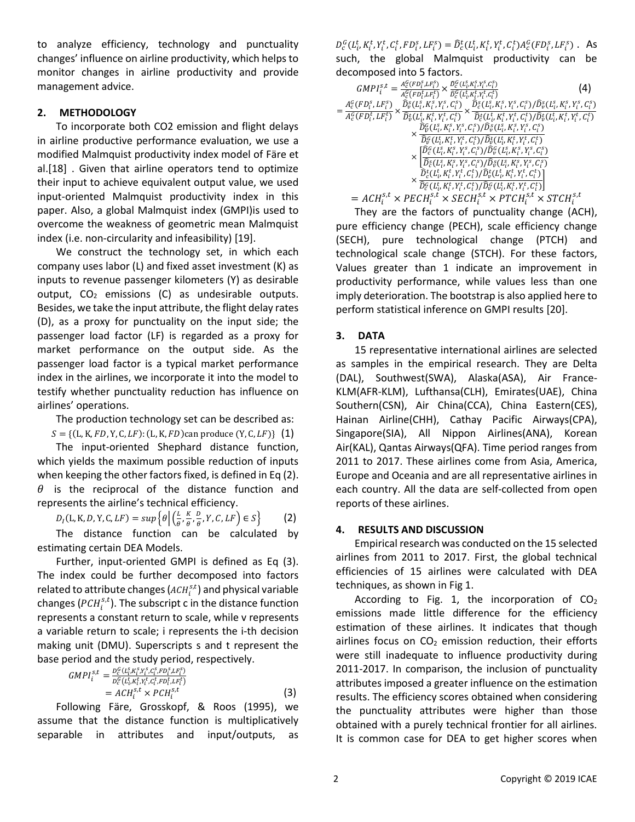to analyze efficiency, technology and punctuality changes' influence on airline productivity, which helps to monitor changes in airline productivity and provide management advice.

## **2. METHODOLOGY**

To incorporate both CO2 emission and flight delays in airline productive performance evaluation, we use a modified Malmquist productivity index model of Färe et al.[18] . Given that airline operators tend to optimize their input to achieve equivalent output value, we used input-oriented Malmquist productivity index in this paper. Also, a global Malmquist index (GMPI)is used to overcome the weakness of geometric mean Malmquist index (i.e. non-circularity and infeasibility) [19].

We construct the technology set, in which each company uses labor (L) and fixed asset investment (K) as inputs to revenue passenger kilometers (Y) as desirable output,  $CO<sub>2</sub>$  emissions (C) as undesirable outputs. Besides, we take the input attribute, the flight delay rates (D), as a proxy for punctuality on the input side; the passenger load factor (LF) is regarded as a proxy for market performance on the output side. As the passenger load factor is a typical market performance index in the airlines, we incorporate it into the model to testify whether punctuality reduction has influence on airlines' operations.

The production technology set can be described as:

 $S = \{ (L, K, FD, Y, C, LF) : (L, K, FD)$ can produce  $(Y, C, LF) \}$  (1)

The input-oriented Shephard distance function, which yields the maximum possible reduction of inputs when keeping the other factors fixed, is defined in Eq (2).  $\theta$  is the reciprocal of the distance function and represents the airline's technical efficiency.

$$
D_I(\mathsf{L}, \mathsf{K}, \mathsf{D}, \mathsf{Y}, \mathsf{C}, \mathsf{LF}) = \sup \left\{ \theta \, \middle| \, \left( \frac{\mathsf{L}}{\theta}, \frac{\mathsf{K}}{\theta}, \frac{\mathsf{D}}{\theta}, \mathsf{Y}, \mathsf{C}, \mathsf{LF} \right) \in \mathsf{S} \right\} \tag{2}
$$

The distance function can be calculated by estimating certain DEA Models.

Further, input-oriented GMPI is defined as Eq (3). The index could be further decomposed into factors related to attribute changes ( $ACH_i^{s,t}$ ) and physical variable changes ( $PCH_i^{s,t}$ ). The subscript c in the distance function represents a constant return to scale, while v represents a variable return to scale; i represents the i-th decision making unit (DMU). Superscripts s and t represent the base period and the study period, respectively.

$$
GMPI_i^{s,t} = \frac{D_c^C(L_{i,K_i^s,Y_i^s,C_i^s,FD_i^s,LF_i^s})}{D_c^C(L_{i,K_i^s,Y_i^t,C_i^t,FD_i^t,LF_i^t})}
$$
  
=  $ACH_i^{s,t} \times PCH_i^{s,t}$  (3)

Following Färe, Grosskopf, & Roos (1995), we assume that the distance function is multiplicatively separable in attributes and input/outputs, as

 $D_c^G(L_i^t, K_i^t, Y_i^t, C_i^t, FD_i^s, LF_i^s) = \hat{D}_c^t(L_i^t, K_i^t, Y_i^t, C_i^t) A_c^G(FD_i^s, LF_i^s)$ . As such, the global Malmquist productivity can be decomposed into 5 factors.

| $GMPI_i^{s,t} = \frac{A_c^G(FD_i^s, LF_i^s)}{A_c^G(FD_i^t, LF_i^t)} \times \frac{\bar{D}_c^G(L_i^s, K_i^s, Y_i^s, C_i^s)}{\bar{D}_c^G(L_i^t, K_i^t, Y_i^t, C_i^t)}$                                                                                                                                                                                                                                     | (4) |
|---------------------------------------------------------------------------------------------------------------------------------------------------------------------------------------------------------------------------------------------------------------------------------------------------------------------------------------------------------------------------------------------------------|-----|
| $\hspace*{-1.8cm}=\frac{A^G_{c}(FD^S_{i},LF^S_{i})}{A^G_{c}(FD^L_{i},LF^S_{i})} \times \frac{\widehat{D}^S_{v}(L^S_{i},K^S_{i},Y^S_{i},C^S_{i})}{\widehat{D}^L_{v}(L^L_{i},K^L_{i},Y^L_{i},C^S_{i})} \times \frac{\widehat{D}^S_{c}(L^S_{i},K^S_{i},Y^S_{i},C^S_{i})/\widehat{D}^S_{v}(L^S_{i},K^S_{i},Y^S_{i},C^S_{i})}{\widehat{D}^L_{c}(L^L_{i},K$                                                   |     |
|                                                                                                                                                                                                                                                                                                                                                                                                         |     |
| $\widehat{D}_{\mathcal{V}}^G(L_i^s,K_i^s,Y_i^s,C_i^s)/\widehat{D}_{\mathcal{v}}^s(L_i^s,K_i^s,Y_i^s,C_i^s)$                                                                                                                                                                                                                                                                                             |     |
| $\times \frac{1}{\widehat{D}_{v}^{G}(L^{t}_{i},K^{t}_{i},Y^{t}_{i},C^{t}_{i})/\widehat{D}_{v}^{t}(L^{t}_{i},K^{t}_{i},Y^{t}_{i},C^{t}_{i})}$                                                                                                                                                                                                                                                            |     |
| $\times \bigg  \frac{\tilde{D}_{c}^{\tilde{G}}(L_{i}^{\tilde{s}},K_{i}^{\tilde{s}},Y_{i}^{\tilde{s}},C_{i}^{\tilde{s}})/\tilde{D}_{v}^{\tilde{G}}(L_{i}^{\tilde{s}},K_{i}^{\tilde{s}},Y_{i}^{\tilde{s}},C_{i}^{\tilde{s}})}{ \tilde{D}_{c}^{\tilde{s}}(L_{i}^{\tilde{s}},K_{i}^{\tilde{s}},Y_{i}^{\tilde{s}},C_{i}^{\tilde{s}})/\tilde{D}_{v}^{\tilde{s}}(L_{i}^{\tilde{s}},K_{i}^{\tilde{s}},Y_{i}^{\$ |     |
|                                                                                                                                                                                                                                                                                                                                                                                                         |     |
| $\widehat{D}_{c}^{t}(L_{i}^{t},K_{i}^{t},Y_{i}^{t},C_{i}^{t})/\widehat{D}_{v}^{t}(L_{i}^{t},K_{i}^{t},Y_{i}^{t},C_{i}^{t})$                                                                                                                                                                                                                                                                             |     |
| $\times \frac{1}{\widehat{D}_c^G(L_i^t,K_i^t,Y_i^t,C_i^t)/\widehat{D}_v^G(L_i^t,K_i^t,Y_i^t,C_i^t)}$                                                                                                                                                                                                                                                                                                    |     |
| $= ACH_i^{s,t} \times PECH_i^{s,t} \times SECH_i^{s,t} \times PTCH_i^{s,t} \times STCH_i^{s,t}$                                                                                                                                                                                                                                                                                                         |     |

They are the factors of punctuality change (ACH), pure efficiency change (PECH), scale efficiency change (SECH), pure technological change (PTCH) and technological scale change (STCH). For these factors, Values greater than 1 indicate an improvement in productivity performance, while values less than one imply deterioration. The bootstrap is also applied here to perform statistical inference on GMPI results [20].

# **3. DATA**

15 representative international airlines are selected as samples in the empirical research. They are Delta (DAL), Southwest(SWA), Alaska(ASA), Air France-KLM(AFR-KLM), Lufthansa(CLH), Emirates(UAE), China Southern(CSN), Air China(CCA), China Eastern(CES), Hainan Airline(CHH), Cathay Pacific Airways(CPA), Singapore(SIA), All Nippon Airlines(ANA), Korean Air(KAL), Qantas Airways(QFA). Time period ranges from 2011 to 2017. These airlines come from Asia, America, Europe and Oceania and are all representative airlines in each country. All the data are self-collected from open reports of these airlines.

# **4. RESULTS AND DISCUSSION**

Empirical research was conducted on the 15 selected airlines from 2011 to 2017. First, the global technical efficiencies of 15 airlines were calculated with DEA techniques, as shown in Fig 1.

According to Fig. 1, the incorporation of  $CO<sub>2</sub>$ emissions made little difference for the efficiency estimation of these airlines. It indicates that though airlines focus on  $CO<sub>2</sub>$  emission reduction, their efforts were still inadequate to influence productivity during 2011-2017. In comparison, the inclusion of punctuality attributes imposed a greater influence on the estimation results. The efficiency scores obtained when considering the punctuality attributes were higher than those obtained with a purely technical frontier for all airlines. It is common case for DEA to get higher scores when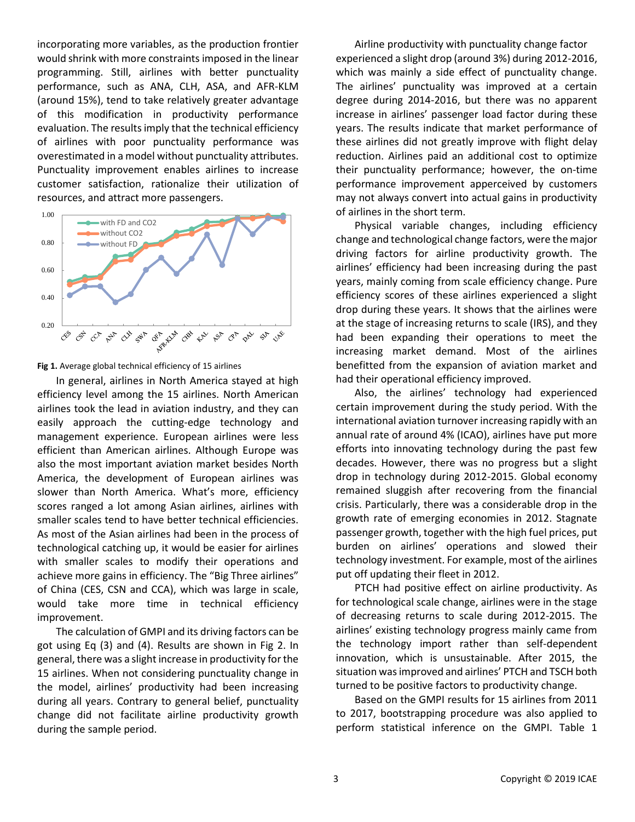incorporating more variables, as the production frontier would shrink with more constraints imposed in the linear programming. Still, airlines with better punctuality performance, such as ANA, CLH, ASA, and AFR-KLM (around 15%), tend to take relatively greater advantage of this modification in productivity performance evaluation. The results imply that the technical efficiency of airlines with poor punctuality performance was overestimated in a model without punctuality attributes. Punctuality improvement enables airlines to increase customer satisfaction, rationalize their utilization of resources, and attract more passengers.





In general, airlines in North America stayed at high efficiency level among the 15 airlines. North American airlines took the lead in aviation industry, and they can easily approach the cutting-edge technology and management experience. European airlines were less efficient than American airlines. Although Europe was also the most important aviation market besides North America, the development of European airlines was slower than North America. What's more, efficiency scores ranged a lot among Asian airlines, airlines with smaller scales tend to have better technical efficiencies. As most of the Asian airlines had been in the process of technological catching up, it would be easier for airlines with smaller scales to modify their operations and achieve more gains in efficiency. The "Big Three airlines" of China (CES, CSN and CCA), which was large in scale, would take more time in technical efficiency improvement.

The calculation of GMPI and its driving factors can be got using Eq (3) and (4). Results are shown in Fig 2. In general, there was a slight increase in productivity for the 15 airlines. When not considering punctuality change in the model, airlines' productivity had been increasing during all years. Contrary to general belief, punctuality change did not facilitate airline productivity growth during the sample period.

Airline productivity with punctuality change factor experienced a slight drop (around 3%) during 2012-2016, which was mainly a side effect of punctuality change. The airlines' punctuality was improved at a certain degree during 2014-2016, but there was no apparent increase in airlines' passenger load factor during these years. The results indicate that market performance of these airlines did not greatly improve with flight delay reduction. Airlines paid an additional cost to optimize their punctuality performance; however, the on-time performance improvement apperceived by customers may not always convert into actual gains in productivity of airlines in the short term.

Physical variable changes, including efficiency change and technological change factors, were the major driving factors for airline productivity growth. The airlines' efficiency had been increasing during the past years, mainly coming from scale efficiency change. Pure efficiency scores of these airlines experienced a slight drop during these years. It shows that the airlines were at the stage of increasing returns to scale (IRS), and they had been expanding their operations to meet the increasing market demand. Most of the airlines benefitted from the expansion of aviation market and had their operational efficiency improved.

Also, the airlines' technology had experienced certain improvement during the study period. With the international aviation turnover increasing rapidly with an annual rate of around 4% (ICAO), airlines have put more efforts into innovating technology during the past few decades. However, there was no progress but a slight drop in technology during 2012-2015. Global economy remained sluggish after recovering from the financial crisis. Particularly, there was a considerable drop in the growth rate of emerging economies in 2012. Stagnate passenger growth, together with the high fuel prices, put burden on airlines' operations and slowed their technology investment. For example, most of the airlines put off updating their fleet in 2012.

PTCH had positive effect on airline productivity. As for technological scale change, airlines were in the stage of decreasing returns to scale during 2012-2015. The airlines' existing technology progress mainly came from the technology import rather than self-dependent innovation, which is unsustainable. After 2015, the situation was improved and airlines' PTCH and TSCH both turned to be positive factors to productivity change.

Based on the GMPI results for 15 airlines from 2011 to 2017, bootstrapping procedure was also applied to perform statistical inference on the GMPI. Table 1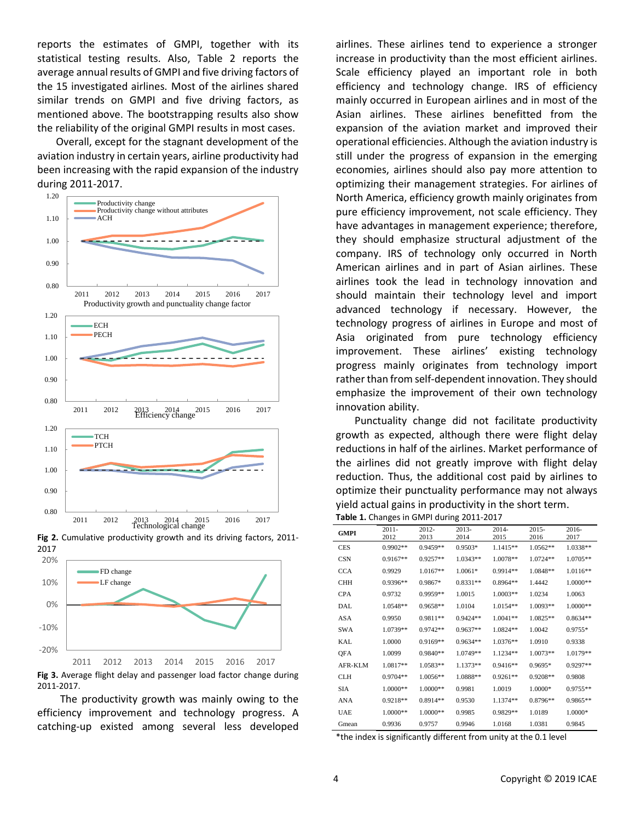reports the estimates of GMPI, together with its statistical testing results. Also, Table 2 reports the average annual results of GMPI and five driving factors of the 15 investigated airlines. Most of the airlines shared similar trends on GMPI and five driving factors, as mentioned above. The bootstrapping results also show the reliability of the original GMPI results in most cases.

Overall, except for the stagnant development of the aviation industry in certain years, airline productivity had been increasing with the rapid expansion of the industry during 2011-2017.







**Fig 3.** Average flight delay and passenger load factor change during 2011-2017.

The productivity growth was mainly owing to the efficiency improvement and technology progress. A catching-up existed among several less developed airlines. These airlines tend to experience a stronger increase in productivity than the most efficient airlines. Scale efficiency played an important role in both efficiency and technology change. IRS of efficiency mainly occurred in European airlines and in most of the Asian airlines. These airlines benefitted from the expansion of the aviation market and improved their operational efficiencies. Although the aviation industry is still under the progress of expansion in the emerging economies, airlines should also pay more attention to optimizing their management strategies. For airlines of North America, efficiency growth mainly originates from pure efficiency improvement, not scale efficiency. They have advantages in management experience; therefore, they should emphasize structural adjustment of the company. IRS of technology only occurred in North American airlines and in part of Asian airlines. These airlines took the lead in technology innovation and should maintain their technology level and import advanced technology if necessary. However, the technology progress of airlines in Europe and most of Asia originated from pure technology efficiency improvement. These airlines' existing technology progress mainly originates from technology import rather than from self-dependent innovation. They should emphasize the improvement of their own technology innovation ability.

Punctuality change did not facilitate productivity growth as expected, although there were flight delay reductions in half of the airlines. Market performance of the airlines did not greatly improve with flight delay reduction. Thus, the additional cost paid by airlines to optimize their punctuality performance may not always yield actual gains in productivity in the short term. **Table 1.** Changes in GMPI during 2011-2017

| <b>GMPI</b> | $2011 -$<br>2012 | $2012 -$<br>2013 | $2013-$<br>2014 | $2014 -$<br>2015 | $2015 -$<br>2016 | 2016-<br>2017 |
|-------------|------------------|------------------|-----------------|------------------|------------------|---------------|
| <b>CES</b>  | $0.9902**$       | $0.9459**$       | $0.9503*$       | $1.1415**$       | 1.0562**         | 1.0338**      |
| <b>CSN</b>  | $0.9167**$       | $0.9257**$       | $1.0343**$      | $1.0078**$       | $1.0724**$       | 1.0705**      |
| <b>CCA</b>  | 0.9929           | $1.0167**$       | $1.0061*$       | $0.9914**$       | 1.0848**         | $1.0116**$    |
| <b>CHH</b>  | $0.9396**$       | $0.9867*$        | $0.8331**$      | $0.8964**$       | 1.4442           | $1.0000**$    |
| <b>CPA</b>  | 0.9732           | $0.9959**$       |                 |                  | 1.0234           |               |
|             |                  |                  | 1.0015          | $1.0003**$       |                  | 1.0063        |
| <b>DAL</b>  | $1.0548**$       | $0.9658**$       | 1.0104          | $1.0154**$       | $1.0093**$       | 1.0000**      |
| <b>ASA</b>  | 0.9950           | $0.9811**$       | $0.9424**$      | $1.0041**$       | $1.0825**$       | $0.8634**$    |
| <b>SWA</b>  | 1.0739**         | $0.9742**$       | $0.9637**$      | $1.0824**$       | 1.0042           | $0.9755*$     |
| KAL         | 1.0000           | $0.9169**$       | $0.9634**$      | $1.0376**$       | 1.0910           | 0.9338        |
| QFA         | 1.0099           | $0.9840**$       | $1.0749**$      | 1.1234**         | $1.0073**$       | 1.0179**      |
| AFR-KLM     | 1.0817**         | $1.0583**$       | $1.1373**$      | $0.9416**$       | $0.9695*$        | $0.9297**$    |
| <b>CLH</b>  | $0.9704**$       | $1.0056**$       | 1.0888**        | $0.9261**$       | $0.9208**$       | 0.9808        |
| SIA         | 1.0000**         | $1.0000**$       | 0.9981          | 1.0019           | 1.0000*          | $0.9755**$    |
| <b>ANA</b>  | $0.9218**$       | $0.8914**$       | 0.9530          | $1.1374**$       | $0.8796**$       | $0.9865**$    |
| <b>UAE</b>  | $1.0000**$       | $1.0000**$       | 0.9985          | $0.9829**$       | 1.0189           | $1.0000*$     |
| Gmean       | 0.9936           | 0.9757           | 0.9946          | 1.0168           | 1.0381           | 0.9845        |

\*the index is significantly different from unity at the 0.1 level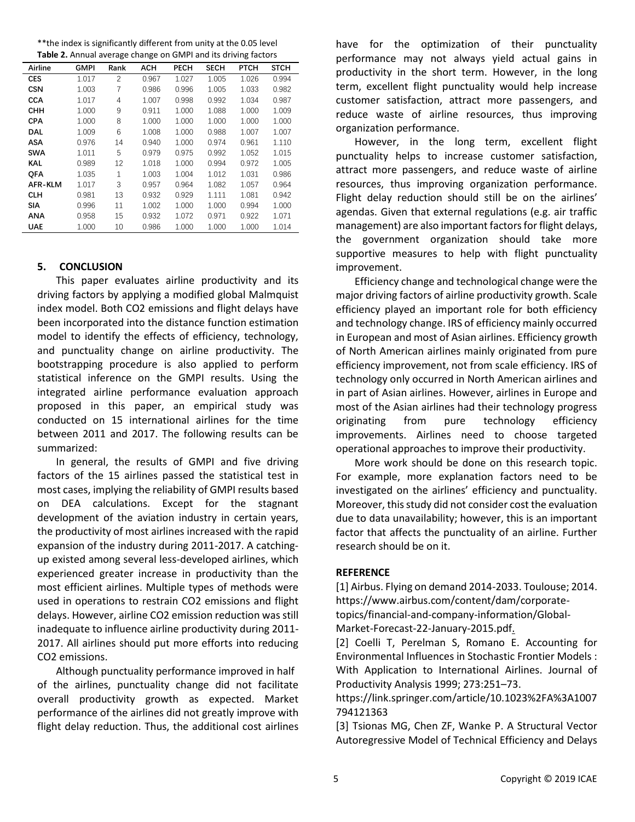| ** the index is significantly different from unity at the 0.05 level |  |
|----------------------------------------------------------------------|--|
| Table 2. Annual average change on GMPI and its driving factors       |  |

|            | <b>Table Er</b> Alliadi average change on GMI Tana its arring factors |                |            |             |             |             |             |
|------------|-----------------------------------------------------------------------|----------------|------------|-------------|-------------|-------------|-------------|
| Airline    | GMPI                                                                  | Rank           | <b>ACH</b> | <b>PECH</b> | <b>SECH</b> | <b>PTCH</b> | <b>STCH</b> |
| <b>CES</b> | 1.017                                                                 | $\overline{c}$ | 0.967      | 1.027       | 1.005       | 1.026       | 0.994       |
| <b>CSN</b> | 1.003                                                                 | $\overline{7}$ | 0.986      | 0.996       | 1.005       | 1.033       | 0.982       |
| <b>CCA</b> | 1.017                                                                 | 4              | 1.007      | 0.998       | 0.992       | 1.034       | 0.987       |
| снн        | 1.000                                                                 | 9              | 0.911      | 1.000       | 1.088       | 1.000       | 1.009       |
| <b>CPA</b> | 1.000                                                                 | 8              | 1.000      | 1.000       | 1.000       | 1.000       | 1.000       |
| <b>DAL</b> | 1.009                                                                 | 6              | 1.008      | 1.000       | 0.988       | 1.007       | 1.007       |
| <b>ASA</b> | 0.976                                                                 | 14             | 0.940      | 1.000       | 0.974       | 0.961       | 1.110       |
| <b>SWA</b> | 1.011                                                                 | 5              | 0.979      | 0.975       | 0.992       | 1.052       | 1.015       |
| <b>KAL</b> | 0.989                                                                 | 12             | 1.018      | 1.000       | 0.994       | 0.972       | 1.005       |
| <b>OFA</b> | 1.035                                                                 | $\mathbf{1}$   | 1.003      | 1.004       | 1.012       | 1.031       | 0.986       |
| AFR-KLM    | 1.017                                                                 | 3              | 0.957      | 0.964       | 1.082       | 1.057       | 0.964       |
| <b>CLH</b> | 0.981                                                                 | 13             | 0.932      | 0.929       | 1.111       | 1.081       | 0.942       |
| <b>SIA</b> | 0.996                                                                 | 11             | 1.002      | 1.000       | 1.000       | 0.994       | 1.000       |
| <b>ANA</b> | 0.958                                                                 | 15             | 0.932      | 1.072       | 0.971       | 0.922       | 1.071       |
| <b>UAE</b> | 1.000                                                                 | 10             | 0.986      | 1.000       | 1.000       | 1.000       | 1.014       |
|            |                                                                       |                |            |             |             |             |             |

### **5. CONCLUSION**

This paper evaluates airline productivity and its driving factors by applying a modified global Malmquist index model. Both CO2 emissions and flight delays have been incorporated into the distance function estimation model to identify the effects of efficiency, technology, and punctuality change on airline productivity. The bootstrapping procedure is also applied to perform statistical inference on the GMPI results. Using the integrated airline performance evaluation approach proposed in this paper, an empirical study was conducted on 15 international airlines for the time between 2011 and 2017. The following results can be summarized:

In general, the results of GMPI and five driving factors of the 15 airlines passed the statistical test in most cases, implying the reliability of GMPI results based on DEA calculations. Except for the stagnant development of the aviation industry in certain years, the productivity of most airlines increased with the rapid expansion of the industry during 2011-2017. A catchingup existed among several less-developed airlines, which experienced greater increase in productivity than the most efficient airlines. Multiple types of methods were used in operations to restrain CO2 emissions and flight delays. However, airline CO2 emission reduction was still inadequate to influence airline productivity during 2011- 2017. All airlines should put more efforts into reducing CO2 emissions.

Although punctuality performance improved in half of the airlines, punctuality change did not facilitate overall productivity growth as expected. Market performance of the airlines did not greatly improve with flight delay reduction. Thus, the additional cost airlines have for the optimization of their punctuality performance may not always yield actual gains in productivity in the short term. However, in the long term, excellent flight punctuality would help increase customer satisfaction, attract more passengers, and reduce waste of airline resources, thus improving organization performance.

However, in the long term, excellent flight punctuality helps to increase customer satisfaction, attract more passengers, and reduce waste of airline resources, thus improving organization performance. Flight delay reduction should still be on the airlines' agendas. Given that external regulations (e.g. air traffic management) are also important factors for flight delays, the government organization should take more supportive measures to help with flight punctuality improvement.

Efficiency change and technological change were the major driving factors of airline productivity growth. Scale efficiency played an important role for both efficiency and technology change. IRS of efficiency mainly occurred in European and most of Asian airlines. Efficiency growth of North American airlines mainly originated from pure efficiency improvement, not from scale efficiency. IRS of technology only occurred in North American airlines and in part of Asian airlines. However, airlines in Europe and most of the Asian airlines had their technology progress originating from pure technology efficiency improvements. Airlines need to choose targeted operational approaches to improve their productivity.

More work should be done on this research topic. For example, more explanation factors need to be investigated on the airlines' efficiency and punctuality. Moreover, this study did not consider cost the evaluation due to data unavailability; however, this is an important factor that affects the punctuality of an airline. Further research should be on it.

#### **REFERENCE**

[1] Airbus. Flying on demand 2014-2033. Toulouse; 2014. https://www.airbus.com/content/dam/corporatetopics/financial-and-company-information/Global-Market-Forecast-22-January-2015.pdf.

[2] Coelli T, Perelman S, Romano E. Accounting for Environmental Influences in Stochastic Frontier Models : With Application to International Airlines. Journal of Productivity Analysis 1999; 273:251–73.

https://link.springer.com/article/10.1023%2FA%3A1007 794121363

[3] Tsionas MG, Chen ZF, Wanke P. A Structural Vector Autoregressive Model of Technical Efficiency and Delays